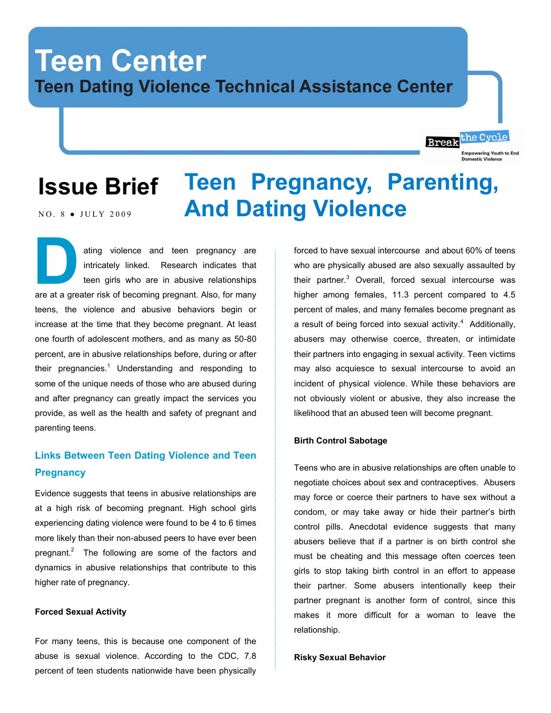# **Teen Center Teen Dating Violence Technical Assistance Center**

## **Issue Brief** NO. 8 . JULY 2009 **Teen Pregnancy, Parenting, And Dating Violence**

ating violence and teen pregnancy are intricately linked. Research indicates that teen girls who are in abusive relationships are at a greater risk of becoming pregnant. Also, for many teens, the violence and abusive behaviors begin or increase at the time that they become pregnant. At least one fourth of adolescent mothers, and as many as 50-80 percent, are in abusive relationships before, during or after their pregnancies.<sup>1</sup> Understanding and responding to some of the unique needs of those who are abused during and after pregnancy can greatly impact the services you provide, as well as the health and safety of pregnant and parenting teens. **D** 

# **Links Between Teen Dating Violence and Teen Pregnancy**

Evidence suggests that teens in abusive relationships are at a high risk of becoming pregnant. High school girls experiencing dating violence were found to be 4 to 6 times more likely than their non-abused peers to have ever been pregnant. $2$  The following are some of the factors and dynamics in abusive relationships that contribute to this higher rate of pregnancy.

## **Forced Sexual Activity**

For many teens, this is because one component of the abuse is sexual violence. According to the CDC, 7.8 percent of teen students nationwide have been physically forced to have sexual intercourse and about 60% of teens who are physically abused are also sexually assaulted by their partner.<sup>3</sup> Overall, forced sexual intercourse was higher among females, 11.3 percent compared to 4.5 percent of males, and many females become pregnant as a result of being forced into sexual activity. $4$  Additionally, abusers may otherwise coerce, threaten, or intimidate their partners into engaging in sexual activity. Teen victims may also acquiesce to sexual intercourse to avoid an incident of physical violence. While these behaviors are not obviously violent or abusive, they also increase the likelihood that an abused teen will become pregnant.

the Cycle

**Empowering Youth to End** 

**Break** 

## **Birth Control Sabotage**

Teens who are in abusive relationships are often unable to negotiate choices about sex and contraceptives. Abusers may force or coerce their partners to have sex without a condom, or may take away or hide their partner's birth control pills. Anecdotal evidence suggests that many abusers believe that if a partner is on birth control she must be cheating and this message often coerces teen girls to stop taking birth control in an effort to appease their partner. Some abusers intentionally keep their partner pregnant is another form of control, since this makes it more difficult for a woman to leave the relationship.

#### **Risky Sexual Behavior**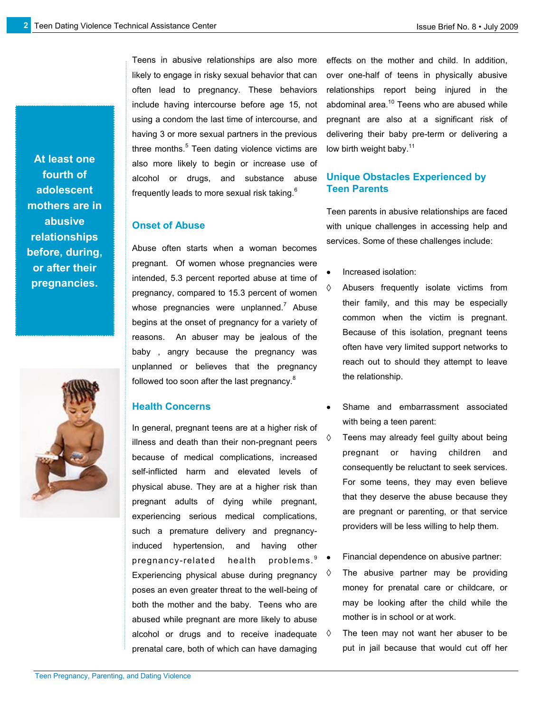**At least one fourth of adolescent mothers are in abusive relationships before, during, or after their pregnancies.**



Teens in abusive relationships are also more likely to engage in risky sexual behavior that can often lead to pregnancy. These behaviors include having intercourse before age 15, not using a condom the last time of intercourse, and having 3 or more sexual partners in the previous three months.<sup>5</sup> Teen dating violence victims are also more likely to begin or increase use of alcohol or drugs, and substance abuse frequently leads to more sexual risk taking. $6$ 

## **Onset of Abuse**

Abuse often starts when a woman becomes pregnant. Of women whose pregnancies were intended, 5.3 percent reported abuse at time of pregnancy, compared to 15.3 percent of women whose pregnancies were unplanned.<sup>7</sup> Abuse begins at the onset of pregnancy for a variety of reasons. An abuser may be jealous of the baby , angry because the pregnancy was unplanned or believes that the pregnancy followed too soon after the last pregnancy.<sup>8</sup>

## **Health Concerns**

In general, pregnant teens are at a higher risk of illness and death than their non-pregnant peers because of medical complications, increased self-inflicted harm and elevated levels of physical abuse. They are at a higher risk than pregnant adults of dying while pregnant, experiencing serious medical complications, such a premature delivery and pregnancyinduced hypertension, and having other pregnancy-related health problems.<sup>9</sup> Experiencing physical abuse during pregnancy  $\sqrt[6]{}$ poses an even greater threat to the well-being of both the mother and the baby. Teens who are abused while pregnant are more likely to abuse alcohol or drugs and to receive inadequate  $\Diamond$ prenatal care, both of which can have damaging

effects on the mother and child. In addition, over one-half of teens in physically abusive relationships report being injured in the abdominal area.<sup>10</sup> Teens who are abused while pregnant are also at a significant risk of delivering their baby pre-term or delivering a low birth weight baby.<sup>11</sup>

## **Unique Obstacles Experienced by Teen Parents**

Teen parents in abusive relationships are faced with unique challenges in accessing help and services. Some of these challenges include:

- Increased isolation:
- Abusers frequently isolate victims from their family, and this may be especially common when the victim is pregnant. Because of this isolation, pregnant teens often have very limited support networks to reach out to should they attempt to leave the relationship.
- Shame and embarrassment associated with being a teen parent:
- Teens may already feel guilty about being pregnant or having children and consequently be reluctant to seek services. For some teens, they may even believe that they deserve the abuse because they are pregnant or parenting, or that service providers will be less willing to help them.
- Financial dependence on abusive partner:
- The abusive partner may be providing money for prenatal care or childcare, or may be looking after the child while the mother is in school or at work.
- The teen may not want her abuser to be put in jail because that would cut off her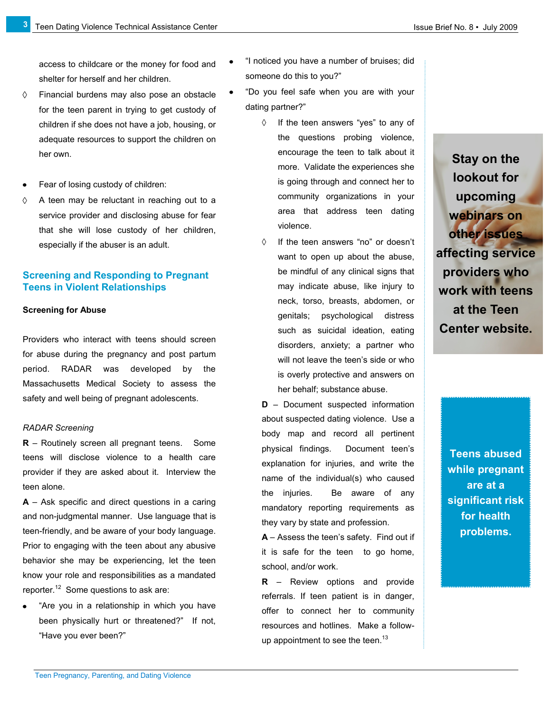access to childcare or the money for food and shelter for herself and her children.

- $\Diamond$ Financial burdens may also pose an obstacle for the teen parent in trying to get custody of children if she does not have a job, housing, or adequate resources to support the children on her own.
- Fear of losing custody of children:
- $\Diamond$ A teen may be reluctant in reaching out to a service provider and disclosing abuse for fear that she will lose custody of her children, especially if the abuser is an adult.

## **Screening and Responding to Pregnant Teens in Violent Relationships**

### **Screening for Abuse**

**3**

Providers who interact with teens should screen for abuse during the pregnancy and post partum period. RADAR was developed by the Massachusetts Medical Society to assess the safety and well being of pregnant adolescents.

### *RADAR Screening*

**R** – Routinely screen all pregnant teens. Some teens will disclose violence to a health care provider if they are asked about it. Interview the teen alone.

**A** – Ask specific and direct questions in a caring and non-judgmental manner. Use language that is teen-friendly, and be aware of your body language. Prior to engaging with the teen about any abusive behavior she may be experiencing, let the teen know your role and responsibilities as a mandated reporter.<sup>12</sup> Some questions to ask are:

"Are you in a relationship in which you have been physically hurt or threatened?" If not, "Have you ever been?"

- "I noticed you have a number of bruises; did someone do this to you?"
- "Do you feel safe when you are with your dating partner?"
	- $\Diamond$ If the teen answers "yes" to any of the questions probing violence, encourage the teen to talk about it more. Validate the experiences she is going through and connect her to community organizations in your area that address teen dating violence.
	- $\Diamond$ If the teen answers "no" or doesn't want to open up about the abuse, be mindful of any clinical signs that may indicate abuse, like injury to neck, torso, breasts, abdomen, or genitals; psychological distress such as suicidal ideation, eating disorders, anxiety; a partner who will not leave the teen's side or who is overly protective and answers on her behalf; substance abuse.

**D** – Document suspected information about suspected dating violence. Use a body map and record all pertinent physical findings. Document teen's explanation for injuries, and write the name of the individual(s) who caused the injuries. Be aware of any mandatory reporting requirements as they vary by state and profession.

**A** – Assess the teen's safety. Find out if it is safe for the teen to go home, school, and/or work.

**R** – Review options and provide referrals. If teen patient is in danger, offer to connect her to community resources and hotlines. Make a followup appointment to see the teen.<sup>13</sup>

**Stay on the lookout for upcoming webinars on other issues affecting service providers who work with teens at the Teen Center website.**

> **Teens abused while pregnant are at a significant risk for health problems.**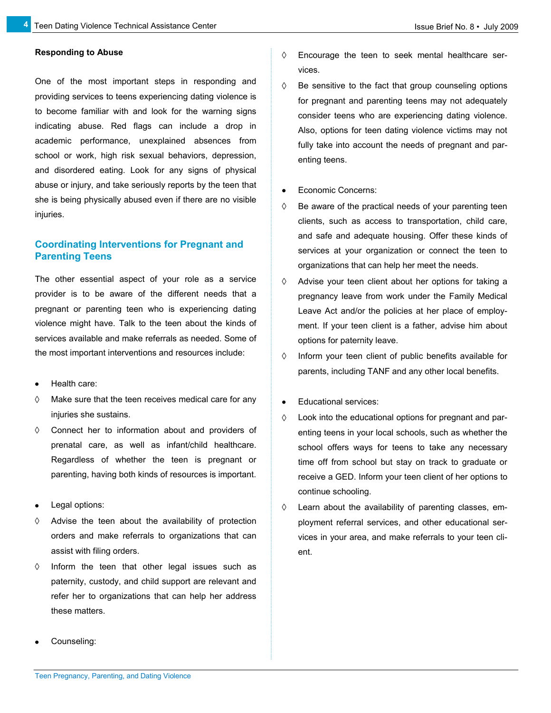## **Responding to Abuse**

**4**

One of the most important steps in responding and providing services to teens experiencing dating violence is to become familiar with and look for the warning signs indicating abuse. Red flags can include a drop in academic performance, unexplained absences from school or work, high risk sexual behaviors, depression, and disordered eating. Look for any signs of physical abuse or injury, and take seriously reports by the teen that she is being physically abused even if there are no visible injuries.

## **Coordinating Interventions for Pregnant and Parenting Teens**

The other essential aspect of your role as a service provider is to be aware of the different needs that a pregnant or parenting teen who is experiencing dating violence might have. Talk to the teen about the kinds of services available and make referrals as needed. Some of the most important interventions and resources include:

- Health care:
- $\Diamond$ Make sure that the teen receives medical care for any injuries she sustains.
- $\Diamond$ Connect her to information about and providers of prenatal care, as well as infant/child healthcare. Regardless of whether the teen is pregnant or parenting, having both kinds of resources is important.
- Legal options:
- Advise the teen about the availability of protection ♦ orders and make referrals to organizations that can assist with filing orders.
- Inform the teen that other legal issues such as  $\Diamond$ paternity, custody, and child support are relevant and refer her to organizations that can help her address these matters.
- $\Diamond$ Encourage the teen to seek mental healthcare services.
- $\Diamond$ Be sensitive to the fact that group counseling options for pregnant and parenting teens may not adequately consider teens who are experiencing dating violence. Also, options for teen dating violence victims may not fully take into account the needs of pregnant and parenting teens.
- Economic Concerns:
- $\Diamond$ Be aware of the practical needs of your parenting teen clients, such as access to transportation, child care, and safe and adequate housing. Offer these kinds of services at your organization or connect the teen to organizations that can help her meet the needs.
- $\Diamond$ Advise your teen client about her options for taking a pregnancy leave from work under the Family Medical Leave Act and/or the policies at her place of employment. If your teen client is a father, advise him about options for paternity leave.
- $\Diamond$ Inform your teen client of public benefits available for parents, including TANF and any other local benefits.
- Educational services:
- Look into the educational options for pregnant and par-♦ enting teens in your local schools, such as whether the school offers ways for teens to take any necessary time off from school but stay on track to graduate or receive a GED. Inform your teen client of her options to continue schooling.
- ♦ Learn about the availability of parenting classes, employment referral services, and other educational services in your area, and make referrals to your teen client.

Counseling: